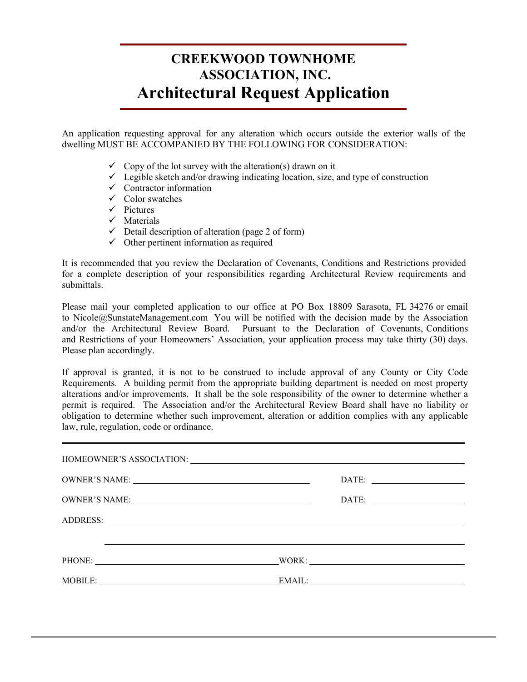## **CREEKWOOD TOWNHOME<br>ASSOCIATION, INC.**<br>An application requesting approval for any alteration which occurs outside the exterior walls of the<br>dwelling MUST BE ACCOMPANIED BY THE FOLLOWING FOR CONSIDERATION:<br> $\checkmark$  Copy of the **CREEKWOOD TOWNHOME<br>ASSOCIATION, INC.**<br>**Architectural Request Application**<br>An application requesting approval for any alteration which occurs outside the exterior walls of the<br>dwelling MUST BE ACCOMPANIED BY THE FOLLOWING **CREEKWOOD TOWNHOME<br>ASSOCIATION, INC.**<br>**Architectural Request Application**<br>ion requesting approval for any alteration which occurs outside the exterior walls of the<br>JST BE ACCOMPANIED BY THE FOLLOWING FOR CONSIDERATION:<br>CREEKWOOD TOWNHOME<br>
ASSOCIATION, INC.<br>
Architectural Request Application<br>
tion requesting approval for any alteration which occurs outside the exterior walls of the<br>
JST BE ACCOMPANIED BY THE FOLLOWING FOR CONSIDERATION:<br> **CREEKWOOD TOWNI<br>
ASSOCIATION, IN<br>
Architectural Request A<br>
ion requesting approval for any alteration which oc<br>
JST BE ACCOMPANIED BY THE FOLLOWING FORT DET ACCOMPANIED BY THE FOLLOWING FORT Copy of the lot survey with t CREEKWOOD TOV**<br> **ASSOCIATION**<br> **Architectural Reques**<br>
ion requesting approval for any alteration which<br>
JST BE ACCOMPANIED BY THE FOLLOWIN<br>  $\checkmark$  Copy of the lot survey with the alteration(s) d<br>  $\checkmark$  Legible sketch and **CREEKWOOD TOWNHOME<br>ASSOCIATION, INC.<br>iitectural Request Application EKWOOD TOWNHOME**<br> **ASSOCIATION, INC.**<br> **tural Request Application**<br> **Let any alteration which occurs outside the exterior walls of the CND DV. THE EQLI OWNE CRD CONSIDER ATOM. CREEKWOOD TOWNHOME**<br> **ASSOCIATION, INC.**<br> **Architectural Request Application**<br> **Architectural Request Application**<br> **ARCOMPANIED BY THE FOLLOWING FOR CONSIDERATION:**<br>
The lot survey with the alteration(s) drawn on it<br>
vib

**Architectural Request Application**<br>
ion requesting approval for any alteration which occurs outside the exterior wal<br>
JST BE ACCOMPANIED BY THE FOLLOWING FOR CONSIDERATION:<br>  $\checkmark$  Copy of the lot survey with the alterati

- 
- 
- 
- 
- $\checkmark$  Pictures
- $\checkmark$  Materials
- 
- 

COMPANIED BY THE FOLLOWING FOR CONSIDERATERT IS THE ACCOMPANIED BY THE FOLLOWING FOR CONSIDERATERT V<br>
Copy of the lot survey with the alteration(s) drawn on it<br>
V Legible sketch and/or drawing indicating location, size, a It is recommended that you review the Declaration of Covenants, Conditions and Restrictions provided for a complete description of your responsibilities regarding Architectural Review requirements and submittals.

Please mail your completed application to our office at PO Box 18809 Sarasota, FL 34276 or email to Nicole@SunstateManagement.com You will be notified with the decision made by the Association and/or the Architectural Review Board. Pursuant to the Declaration of Covenants, Conditions Pursuant to the Declaration of Covenants, Conditions and Restrictions of your Homeowners' Association, your application process may take thirty (30) days. Please plan accordingly.

If approval is granted, it is not to be construed to include approval of any County or City Code Requirements. A building permit from the appropriate building department is needed on most property alterations and/or improvements. It shall be the sole responsibility of the owner to determine whether a permit is required. The Association and/or the Architectural Review Board shall have no liability or obligation to determine whether such improvement, alteration or addition complies with any applicable law, rule, regulation, code or ordinance. and Restrictions of your Homeowners' Association<br>Please plan accordingly.<br>If approval is granted, it is not to be construed<br>Requirements. A building permit from the approproal<br>terations and/or improvements. It shall be the

| Prease plan accordingly.                  |                                                                                                                                                                                                                                                                                                                                                                                                                                                                                                                                                                                                                       |  |
|-------------------------------------------|-----------------------------------------------------------------------------------------------------------------------------------------------------------------------------------------------------------------------------------------------------------------------------------------------------------------------------------------------------------------------------------------------------------------------------------------------------------------------------------------------------------------------------------------------------------------------------------------------------------------------|--|
| law, rule, regulation, code or ordinance. | If approval is granted, it is not to be construed to include approval of any County or City Code<br>Requirements. A building permit from the appropriate building department is needed on most property<br>alterations and/or improvements. It shall be the sole responsibility of the owner to determine whether<br>permit is required. The Association and/or the Architectural Review Board shall have no liability o<br>obligation to determine whether such improvement, alteration or addition complies with any applicable<br>,我们也不会有什么。""我们的人,我们也不会有什么?""我们的人,我们也不会有什么?""我们的人,我们的人,我们也不会有什么?""我们的人,我们的人,我们的人, |  |
|                                           |                                                                                                                                                                                                                                                                                                                                                                                                                                                                                                                                                                                                                       |  |
|                                           |                                                                                                                                                                                                                                                                                                                                                                                                                                                                                                                                                                                                                       |  |
|                                           |                                                                                                                                                                                                                                                                                                                                                                                                                                                                                                                                                                                                                       |  |
|                                           |                                                                                                                                                                                                                                                                                                                                                                                                                                                                                                                                                                                                                       |  |
|                                           |                                                                                                                                                                                                                                                                                                                                                                                                                                                                                                                                                                                                                       |  |
|                                           | PHONE: WORK: WORK:                                                                                                                                                                                                                                                                                                                                                                                                                                                                                                                                                                                                    |  |
|                                           | MOBILE: EMAIL: EMAIL:                                                                                                                                                                                                                                                                                                                                                                                                                                                                                                                                                                                                 |  |
|                                           |                                                                                                                                                                                                                                                                                                                                                                                                                                                                                                                                                                                                                       |  |